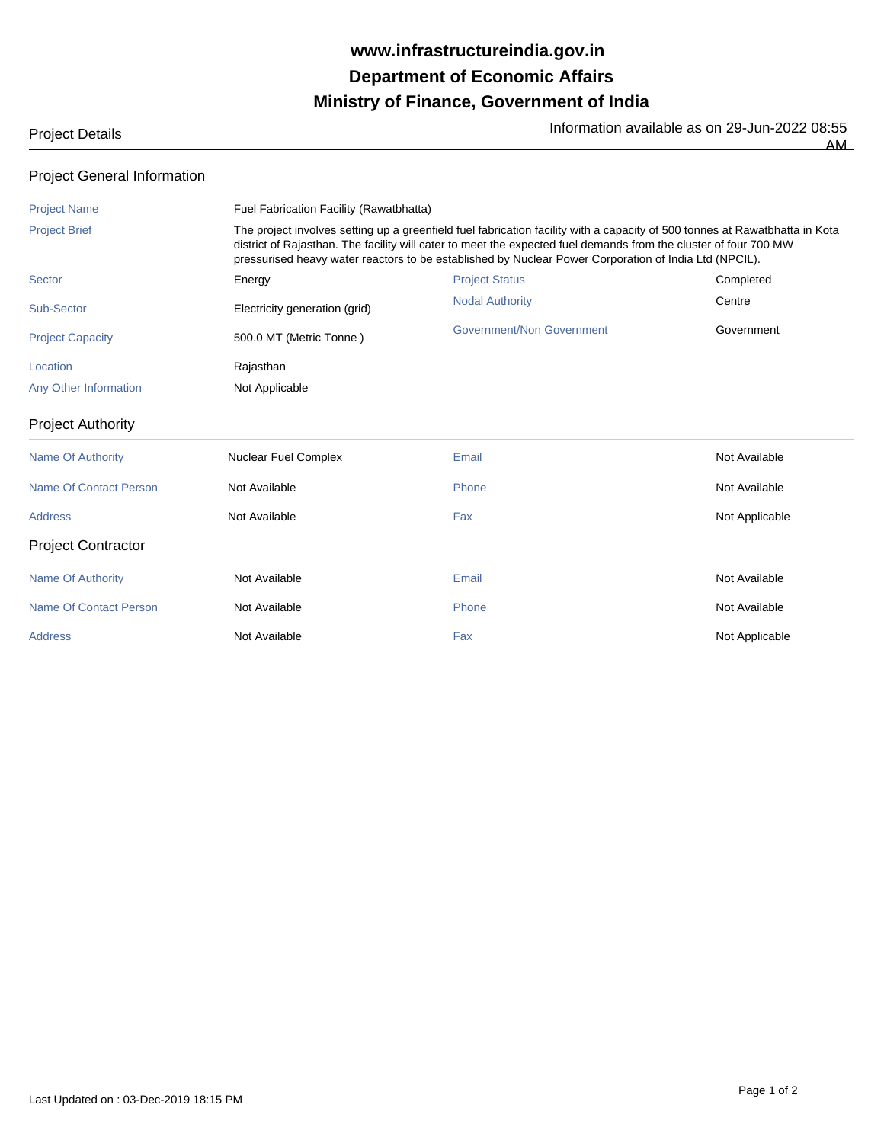## **Ministry of Finance, Government of India Department of Economic Affairs www.infrastructureindia.gov.in**

Project Details **Information available as on 29-Jun-2022 08:55** AM

| <b>Project Name</b>       | Fuel Fabrication Facility (Rawatbhatta)                                                                                                                                                                                                                                                                                                                  |                           |                |  |
|---------------------------|----------------------------------------------------------------------------------------------------------------------------------------------------------------------------------------------------------------------------------------------------------------------------------------------------------------------------------------------------------|---------------------------|----------------|--|
| <b>Project Brief</b>      | The project involves setting up a greenfield fuel fabrication facility with a capacity of 500 tonnes at Rawatbhatta in Kota<br>district of Rajasthan. The facility will cater to meet the expected fuel demands from the cluster of four 700 MW<br>pressurised heavy water reactors to be established by Nuclear Power Corporation of India Ltd (NPCIL). |                           |                |  |
| <b>Sector</b>             | Energy                                                                                                                                                                                                                                                                                                                                                   | <b>Project Status</b>     | Completed      |  |
| Sub-Sector                | Electricity generation (grid)                                                                                                                                                                                                                                                                                                                            | <b>Nodal Authority</b>    | Centre         |  |
| <b>Project Capacity</b>   | 500.0 MT (Metric Tonne)                                                                                                                                                                                                                                                                                                                                  | Government/Non Government | Government     |  |
| Location                  | Rajasthan                                                                                                                                                                                                                                                                                                                                                |                           |                |  |
| Any Other Information     | Not Applicable                                                                                                                                                                                                                                                                                                                                           |                           |                |  |
| <b>Project Authority</b>  |                                                                                                                                                                                                                                                                                                                                                          |                           |                |  |
| <b>Name Of Authority</b>  | <b>Nuclear Fuel Complex</b>                                                                                                                                                                                                                                                                                                                              | Email                     | Not Available  |  |
| Name Of Contact Person    | Not Available                                                                                                                                                                                                                                                                                                                                            | Phone                     | Not Available  |  |
| <b>Address</b>            | Not Available                                                                                                                                                                                                                                                                                                                                            | Fax                       | Not Applicable |  |
| <b>Project Contractor</b> |                                                                                                                                                                                                                                                                                                                                                          |                           |                |  |
| <b>Name Of Authority</b>  | Not Available                                                                                                                                                                                                                                                                                                                                            | Email                     | Not Available  |  |
| Name Of Contact Person    | Not Available                                                                                                                                                                                                                                                                                                                                            | Phone                     | Not Available  |  |
| <b>Address</b>            | Not Available                                                                                                                                                                                                                                                                                                                                            | Fax                       | Not Applicable |  |